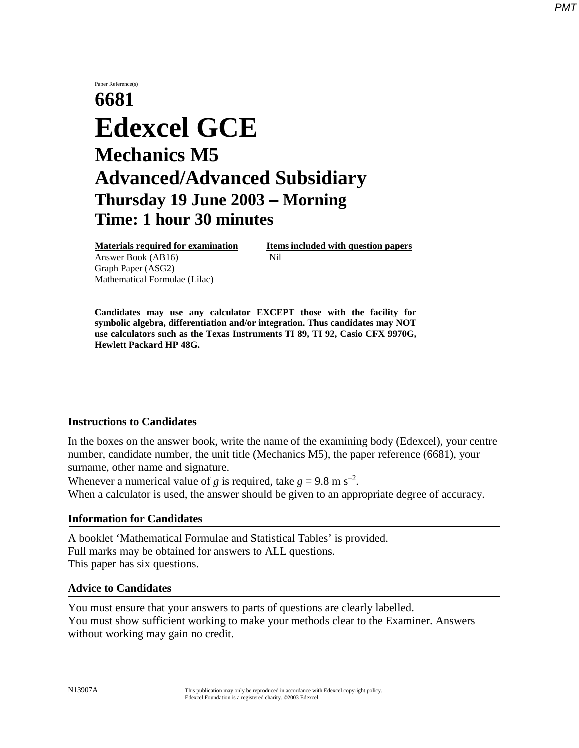# Paper Reference(s) **6681 Edexcel GCE Mechanics M5 Advanced/Advanced Subsidiary Thursday 19 June 2003** − **Morning Time: 1 hour 30 minutes**

**Materials required for examination Items included with question papers** Answer Book (AB16) **Nil** Graph Paper (ASG2) Mathematical Formulae (Lilac)

**Candidates may use any calculator EXCEPT those with the facility for symbolic algebra, differentiation and/or integration. Thus candidates may NOT use calculators such as the Texas Instruments TI 89, TI 92, Casio CFX 9970G, Hewlett Packard HP 48G.**

## **Instructions to Candidates**

In the boxes on the answer book, write the name of the examining body (Edexcel), your centre number, candidate number, the unit title (Mechanics M5), the paper reference (6681), your surname, other name and signature.

Whenever a numerical value of *g* is required, take  $g = 9.8$  m s<sup>-2</sup>. When a calculator is used, the answer should be given to an appropriate degree of accuracy.

#### **Information for Candidates**

A booklet 'Mathematical Formulae and Statistical Tables' is provided. Full marks may be obtained for answers to ALL questions. This paper has six questions.

#### **Advice to Candidates**

You must ensure that your answers to parts of questions are clearly labelled. You must show sufficient working to make your methods clear to the Examiner. Answers without working may gain no credit.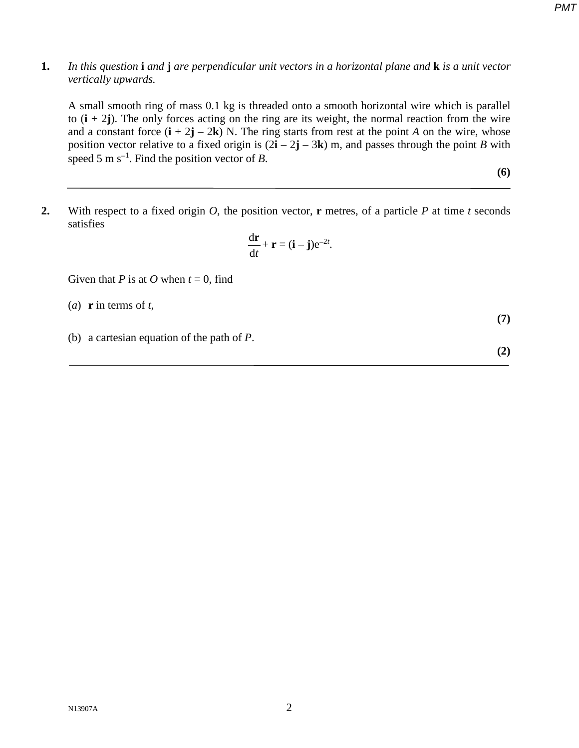### **1.** *In this question* **i** *and* **j** *are perpendicular unit vectors in a horizontal plane and* **k** *is a unit vector vertically upwards.*

A small smooth ring of mass 0.1 kg is threaded onto a smooth horizontal wire which is parallel to  $(i + 2j)$ . The only forces acting on the ring are its weight, the normal reaction from the wire and a constant force  $(i + 2j - 2k)$  N. The ring starts from rest at the point *A* on the wire, whose position vector relative to a fixed origin is  $(2\mathbf{i} - 2\mathbf{j} - 3\mathbf{k})$  m, and passes through the point *B* with speed 5 m s<sup>−</sup><sup>1</sup> . Find the position vector of *B*.

**(6)**

*PMT*

**2.** With respect to a fixed origin *O*, the position vector, **r** metres, of a particle *P* at time *t* seconds satisfies

$$
\frac{\mathrm{d}\mathbf{r}}{\mathrm{d}t} + \mathbf{r} = (\mathbf{i} - \mathbf{j})e^{-2t}.
$$

Given that *P* is at *O* when  $t = 0$ , find

- (*a*) **r** in terms of *t*,
- (b) a cartesian equation of the path of *P*.

 $N13907A$  2

$$
\mathbf{r} - \mathbf{r} = (\mathbf{i} - \mathbf{j})e^{-2t}.
$$

**(7)**

**(2)**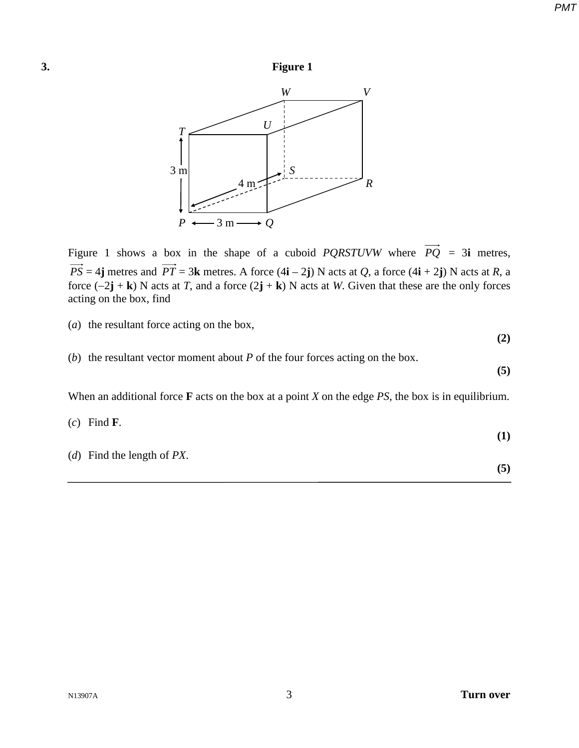



Figure 1 shows a box in the shape of a cuboid *PQRSTUVW* where  $\overrightarrow{PQ}$  = 3**i** metres,  $\overrightarrow{PS} = 4$ **j** metres and  $\overrightarrow{PT} = 3$ **k** metres. A force  $(4\mathbf{i} - 2\mathbf{j})$  N acts at *Q*, a force  $(4\mathbf{i} + 2\mathbf{j})$  N acts at *R*, a force (−2**j** + **k**) N acts at *T*, and a force (2**j** + **k**) N acts at *W*. Given that these are the only forces acting on the box, find

(*a*) the resultant force acting on the box,

**(2)**

(*b*) the resultant vector moment about *P* of the four forces acting on the box.

**(5)**

When an additional force **F** acts on the box at a point *X* on the edge *PS*, the box is in equilibrium.

|  | 'ınd |
|--|------|
|--|------|

(*d*) Find the length of *PX*.

- **(1)**
	- **(5)**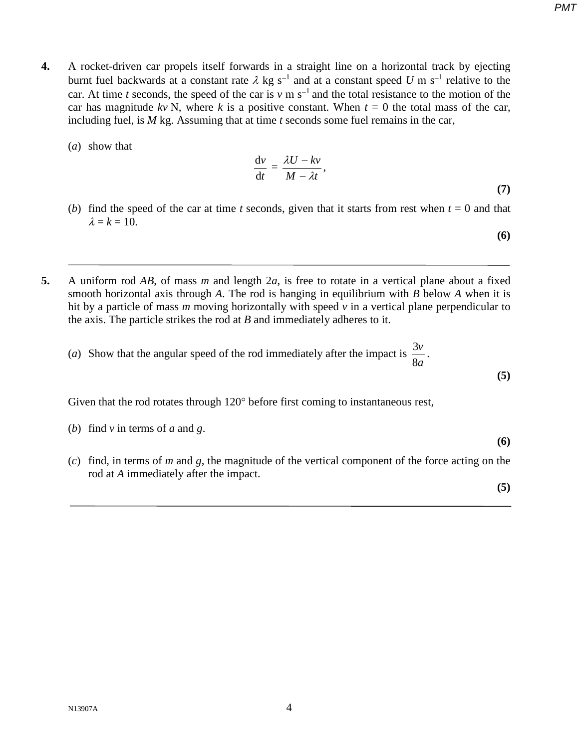- **4.** A rocket-driven car propels itself forwards in a straight line on a horizontal track by ejecting burnt fuel backwards at a constant rate <sup>λ</sup> kg s<sup>−</sup><sup>1</sup> and at a constant speed *U* m s<sup>−</sup><sup>1</sup> relative to the car. At time *t* seconds, the speed of the car is *v* m s<sup>−</sup>1 and the total resistance to the motion of the car has magnitude  $kv N$ , where k is a positive constant. When  $t = 0$  the total mass of the car, including fuel, is *M* kg. Assuming that at time *t* seconds some fuel remains in the car,
	- (*a*) show that

$$
\frac{\mathrm{d}v}{\mathrm{d}t} = \frac{\lambda U - kv}{M - \lambda t},\tag{7}
$$

(*b*) find the speed of the car at time *t* seconds, given that it starts from rest when  $t = 0$  and that  $\lambda = k = 10$ .

**(6)**

**5.** A uniform rod *AB*, of mass *m* and length 2*a*, is free to rotate in a vertical plane about a fixed smooth horizontal axis through *A*. The rod is hanging in equilibrium with *B* below *A* when it is hit by a particle of mass *m* moving horizontally with speed *v* in a vertical plane perpendicular to the axis. The particle strikes the rod at *B* and immediately adheres to it.

(*a*) Show that the angular speed of the rod immediately after the impact is *a v* 8  $\frac{3v}{2}$ .

Given that the rod rotates through 120° before first coming to instantaneous rest,

(b) find 
$$
v
$$
 in terms of  $a$  and  $g$ .

(*c*) find, in terms of *m* and *g*, the magnitude of the vertical component of the force acting on the rod at *A* immediately after the impact.

**(5)**

**(6)**

**(5)**

*PMT*